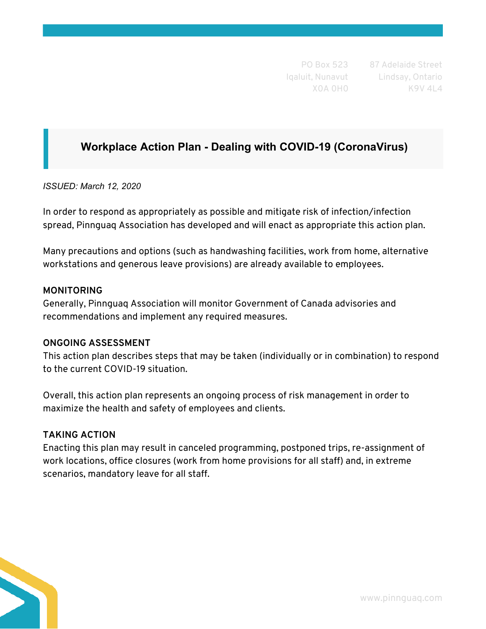PO Box 523 Iqaluit, Nunavut X0A 0H0

87 Adelaide Street Lindsay, Ontario K9V 4L4

# **Workplace Action Plan - Dealing with COVID-19 (CoronaVirus)**

*ISSUED: March 12, 2020* 

In order to respond as appropriately as possible and mitigate risk of infection/infection spread, Pinnguaq Association has developed and will enact as appropriate this action plan.

Many precautions and options (such as handwashing facilities, work from home, alternative workstations and generous leave provisions) are already available to employees.

#### **MONITORING**

Generally, Pinnguaq Association will monitor Government of Canada advisories and recommendations and implement any required measures.

### **ONGOING ASSESSMENT**

This action plan describes steps that may be taken (individually or in combination) to respond to the current COVID-19 situation.

Overall, this action plan represents an ongoing process of risk management in order to maximize the health and safety of employees and clients.

### **TAKING ACTION**

Enacting this plan may result in canceled programming, postponed trips, re-assignment of work locations, office closures (work from home provisions for all staff) and, in extreme scenarios, mandatory leave for all staff.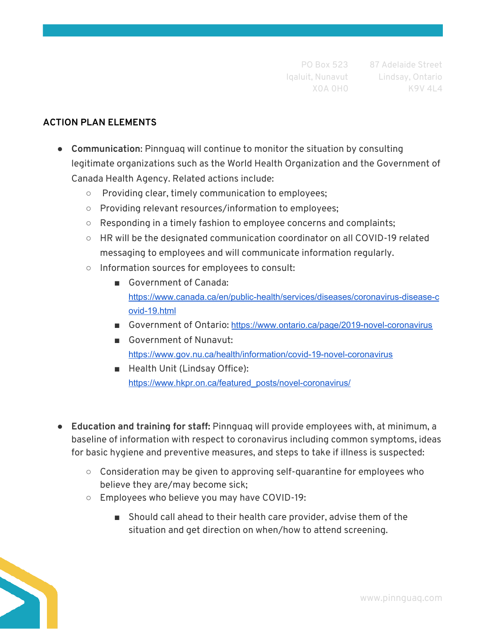## **ACTION PLAN ELEMENTS**

- **Communication**: Pinnguaq will continue to monitor the situation by consulting legitimate organizations such as the World Health Organization and the Government of Canada Health Agency. Related actions include:
	- Providing clear, timely communication to employees;
	- Providing relevant resources/information to employees;
	- Responding in a timely fashion to employee concerns and complaints;
	- HR will be the designated communication coordinator on all COVID-19 related messaging to employees and will communicate information regularly.
	- Information sources for employees to consult:
		- Government of Canada: [https://www.canada.ca/en/public-health/services/diseases/coronavirus-disease-c](https://www.canada.ca/en/public-health/services/diseases/coronavirus-disease-covid-19.html) [ovid-19.html](https://www.canada.ca/en/public-health/services/diseases/coronavirus-disease-covid-19.html)
		- Government of Ontario: <https://www.ontario.ca/page/2019-novel-coronavirus>
		- Government of Nunavut: <https://www.gov.nu.ca/health/information/covid-19-novel-coronavirus>
		- Health Unit (Lindsay Office): [https://www.hkpr.on.ca/featured\\_posts/novel-coronavirus/](https://www.hkpr.on.ca/featured_posts/novel-coronavirus/)
- **● Education and training for staff:** Pinnguaq will provide employees with, at minimum, a baseline of information with respect to coronavirus including common symptoms, ideas for basic hygiene and preventive measures, and steps to take if illness is suspected:
	- **○** Consideration may be given to approving self-quarantine for employees who believe they are/may become sick;
	- Employees who believe you may have COVID-19:
		- Should call ahead to their health care provider, advise them of the situation and get direction on when/how to attend screening.

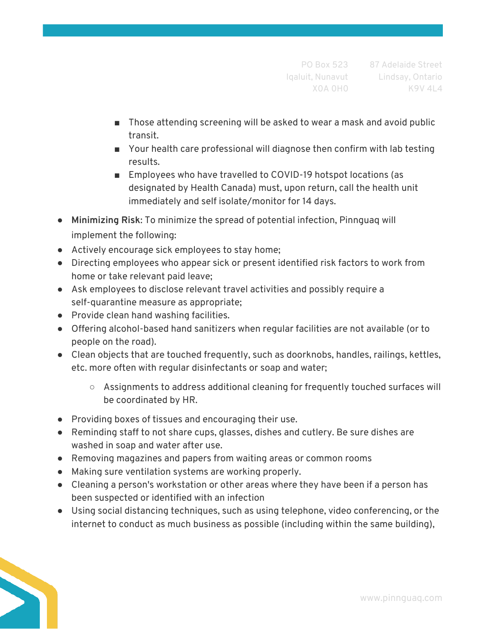- Those attending screening will be asked to wear a mask and avoid public transit.
- Your health care professional will diagnose then confirm with lab testing results.
- Employees who have travelled to COVID-19 hotspot locations (as designated by Health Canada) must, upon return, call the health unit immediately and self isolate/monitor for 14 days.
- **Minimizing Risk**: To minimize the spread of potential infection, Pinnguaq will implement the following:
- Actively encourage sick employees to stay home;
- Directing employees who appear sick or present identified risk factors to work from home or take relevant paid leave;
- Ask employees to disclose relevant travel activities and possibly require a self-quarantine measure as appropriate;
- Provide clean hand washing facilities.
- Offering alcohol-based hand sanitizers when regular facilities are not available (or to people on the road).
- Clean objects that are touched frequently, such as doorknobs, handles, railings, kettles, etc. more often with regular disinfectants or soap and water;
	- Assignments to address additional cleaning for frequently touched surfaces will be coordinated by HR.
- Providing boxes of tissues and encouraging their use.
- Reminding staff to not share cups, glasses, dishes and cutlery. Be sure dishes are washed in soap and water after use.
- Removing magazines and papers from waiting areas or common rooms
- Making sure ventilation systems are working properly.
- Cleaning a person's workstation or other areas where they have been if a person has been suspected or identified with an infection
- Using social distancing techniques, such as using telephone, video conferencing, or the internet to conduct as much business as possible (including within the same building),

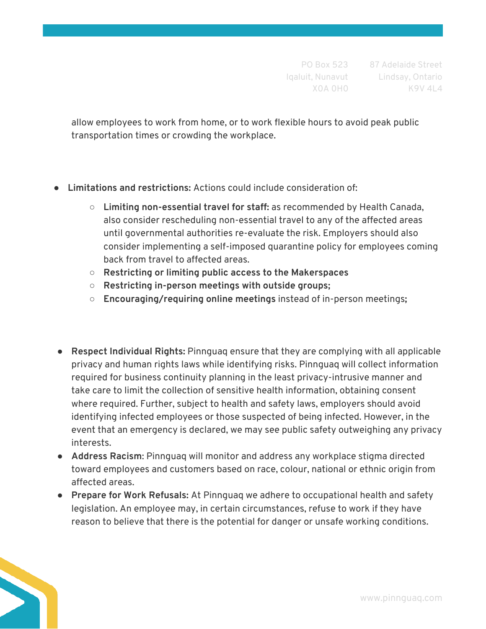allow employees to work from home, or to work flexible hours to avoid peak public transportation times or crowding the workplace.

- **Limitations and restrictions:** Actions could include consideration of:
	- **○ Limiting non-essential travel for staff:** as recommended by Health Canada, also consider rescheduling non-essential travel to any of the affected areas until governmental authorities re-evaluate the risk. Employers should also consider implementing a self-imposed quarantine policy for employees coming back from travel to affected areas.
	- **○ Restricting or limiting public access to the Makerspaces**
	- **○ Restricting in-person meetings with outside groups;**
	- **○ Encouraging/requiring online meetings** instead of in-person meetings**;**
- **Respect Individual Rights:** Pinnguaq ensure that they are complying with all applicable privacy and human rights laws while identifying risks. Pinnguaq will collect information required for business continuity planning in the least privacy-intrusive manner and take care to limit the collection of sensitive health information, obtaining consent where required. Further, subject to health and safety laws, employers should avoid identifying infected employees or those suspected of being infected. However, in the event that an emergency is declared, we may see public safety outweighing any privacy interests.
- **Address Racism**: Pinnguaq will monitor and address any workplace stigma directed toward employees and customers based on race, colour, national or ethnic origin from affected areas.
- **Prepare for Work Refusals:** At Pinnguaq we adhere to occupational health and safety legislation. An employee may, in certain circumstances, refuse to work if they have reason to believe that there is the potential for danger or unsafe working conditions.